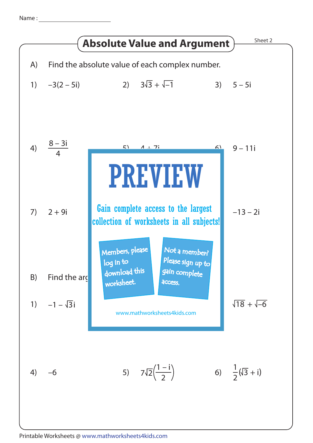